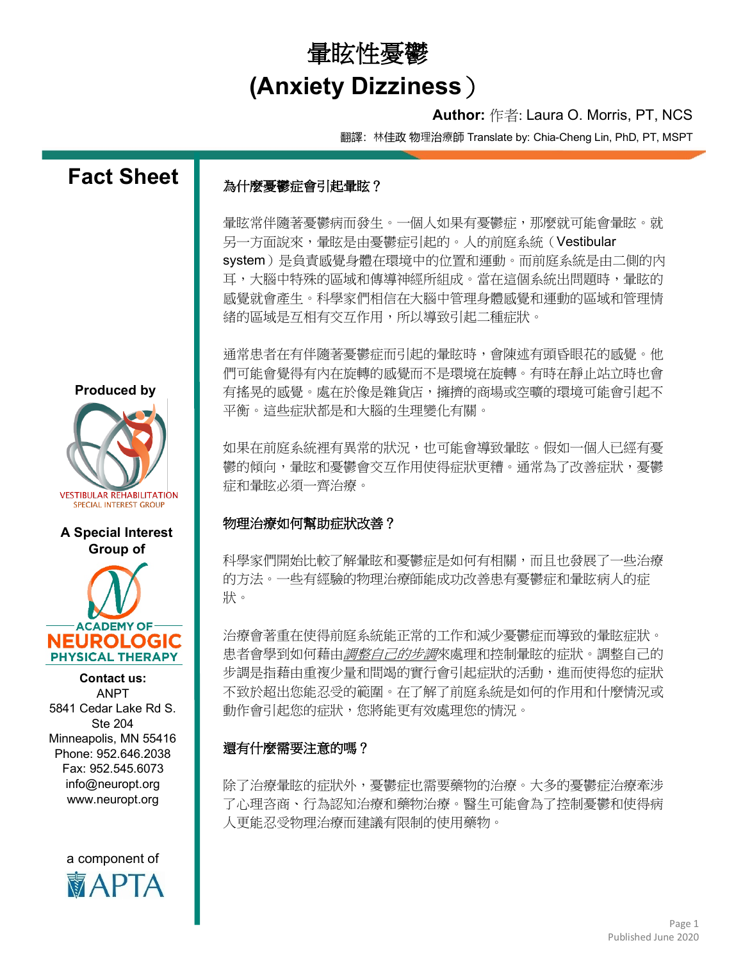## 暈眩性憂鬱 **(Anxiety Dizziness**)

## **Author:** 作者: Laura O. Morris, PT, NCS

翻譯:林佳政 物理治療師 Translate by: Chia-Cheng Lin, PhD, PT, MSPT



**MAPIA**